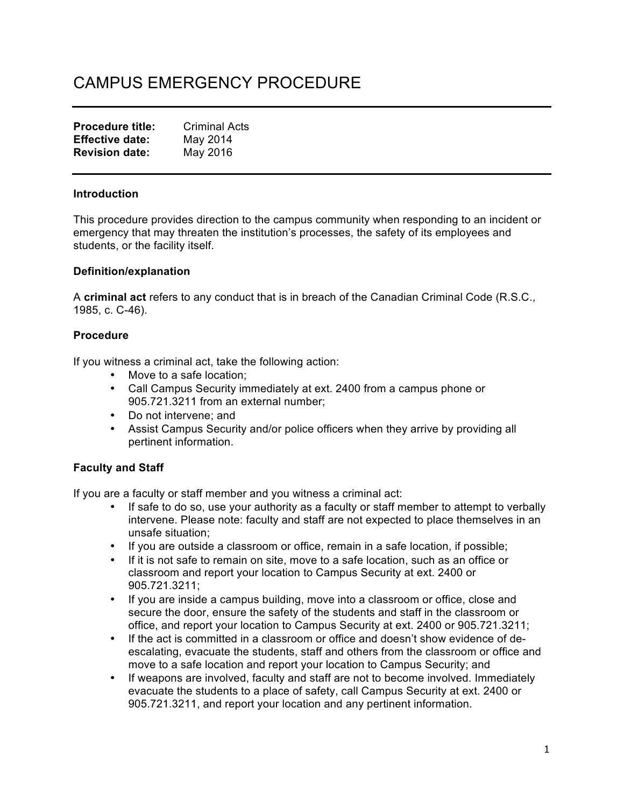# CAMPUS EMERGENCY PROCEDURE

| <b>Procedure title:</b> | <b>Criminal Acts</b> |
|-------------------------|----------------------|
| <b>Effective date:</b>  | May 2014             |
| <b>Revision date:</b>   | May 2016             |

## **Introduction**

This procedure provides direction to the campus community when responding to an incident or emergency that may threaten the institution's processes, the safety of its employees and students, or the facility itself.

## **Definition/explanation**

A **criminal act** refers to any conduct that is in breach of the Canadian Criminal Code (R.S.C., 1985, c. C-46).

# **Procedure**

If you witness a criminal act, take the following action:

- Move to a safe location;
- Call Campus Security immediately at ext. 2400 from a campus phone or 905.721.3211 from an external number;
- Do not intervene; and
- Assist Campus Security and/or police officers when they arrive by providing all pertinent information.

# **Faculty and Staff**

If you are a faculty or staff member and you witness a criminal act:

- If safe to do so, use your authority as a faculty or staff member to attempt to verbally intervene. Please note: faculty and staff are not expected to place themselves in an unsafe situation;
- If you are outside a classroom or office, remain in a safe location, if possible;
- If it is not safe to remain on site, move to a safe location, such as an office or classroom and report your location to Campus Security at ext. 2400 or 905.721.3211;
- If you are inside a campus building, move into a classroom or office, close and secure the door, ensure the safety of the students and staff in the classroom or office, and report your location to Campus Security at ext. 2400 or 905.721.3211;
- If the act is committed in a classroom or office and doesn't show evidence of deescalating, evacuate the students, staff and others from the classroom or office and move to a safe location and report your location to Campus Security; and
- If weapons are involved, faculty and staff are not to become involved. Immediately evacuate the students to a place of safety, call Campus Security at ext. 2400 or 905.721.3211, and report your location and any pertinent information.